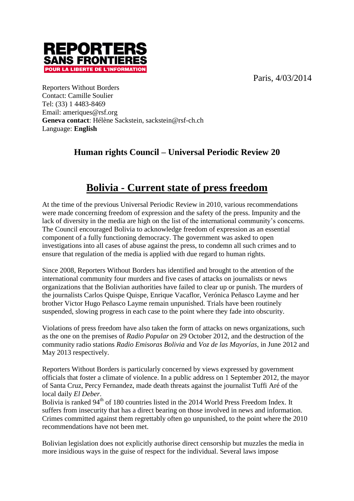Paris, 4/03/2014



Reporters Without Borders Contact: Camille Soulier Tel: (33) 1 4483-8469 Email: ameriques@rsf.org **Geneva contact**: Hélène Sackstein, sackstein@rsf-ch.ch Language: **English**

# **Human rights Council – Universal Periodic Review 20**

# **Bolivia - Current state of press freedom**

At the time of the previous Universal Periodic Review in 2010, various recommendations were made concerning freedom of expression and the safety of the press. Impunity and the lack of diversity in the media are high on the list of the international community's concerns. The Council encouraged Bolivia to acknowledge freedom of expression as an essential component of a fully functioning democracy. The government was asked to open investigations into all cases of abuse against the press, to condemn all such crimes and to ensure that regulation of the media is applied with due regard to human rights.

Since 2008, Reporters Without Borders has identified and brought to the attention of the international community four murders and five cases of attacks on journalists or news organizations that the Bolivian authorities have failed to clear up or punish. The murders of the journalists Carlos Quispe Quispe, Enrique Vacaflor, Verónica Peñasco Layme and her brother Victor Hugo Peñasco Layme remain unpunished. Trials have been routinely suspended, slowing progress in each case to the point where they fade into obscurity.

Violations of press freedom have also taken the form of attacks on news organizations, such as the one on the premises of *Radio Popular* on 29 October 2012, and the destruction of the community radio stations *Radio Emisoras Bolivia* and *Voz de las Mayorías*, in June 2012 and May 2013 respectively.

Reporters Without Borders is particularly concerned by views expressed by government officials that foster a climate of violence. In a public address on 1 September 2012, the mayor of Santa Cruz, Percy Fernandez, made death threats against the journalist Tuffi Aré of the local daily *El Deber*.

Bolivia is ranked 94<sup>th</sup> of 180 countries listed in the 2014 World Press Freedom Index. It suffers from insecurity that has a direct bearing on those involved in news and information. Crimes committed against them regrettably often go unpunished, to the point where the 2010 recommendations have not been met.

Bolivian legislation does not explicitly authorise direct censorship but muzzles the media in more insidious ways in the guise of respect for the individual. Several laws impose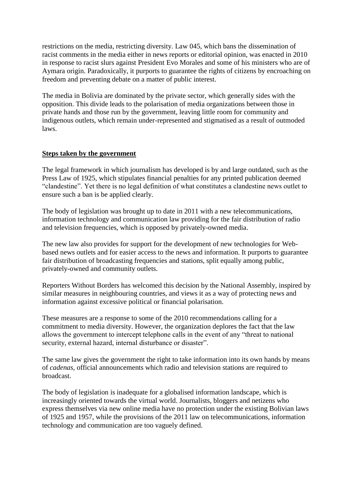restrictions on the media, restricting diversity. Law 045, which bans the dissemination of racist comments in the media either in news reports or editorial opinion, was enacted in 2010 in response to racist slurs against President Evo Morales and some of his ministers who are of Aymara origin. Paradoxically, it purports to guarantee the rights of citizens by encroaching on freedom and preventing debate on a matter of public interest.

The media in Bolivia are dominated by the private sector, which generally sides with the opposition. This divide leads to the polarisation of media organizations between those in private hands and those run by the government, leaving little room for community and indigenous outlets, which remain under-represented and stigmatised as a result of outmoded laws.

#### **Steps taken by the government**

The legal framework in which journalism has developed is by and large outdated, such as the Press Law of 1925, which stipulates financial penalties for any printed publication deemed "clandestine". Yet there is no legal definition of what constitutes a clandestine news outlet to ensure such a ban is be applied clearly.

The body of legislation was brought up to date in 2011 with a new telecommunications, information technology and communication law providing for the fair distribution of radio and television frequencies, which is opposed by privately-owned media.

The new law also provides for support for the development of new technologies for Webbased news outlets and for easier access to the news and information. It purports to guarantee fair distribution of broadcasting frequencies and stations, split equally among public, privately-owned and community outlets.

Reporters Without Borders has welcomed this decision by the National Assembly, inspired by similar measures in neighbouring countries, and views it as a way of protecting news and information against excessive political or financial polarisation.

These measures are a response to some of the 2010 recommendations calling for a commitment to media diversity. However, the organization deplores the fact that the law allows the government to intercept telephone calls in the event of any "threat to national security, external hazard, internal disturbance or disaster".

The same law gives the government the right to take information into its own hands by means of *cadenas,* official announcements which radio and television stations are required to broadcast.

The body of legislation is inadequate for a globalised information landscape, which is increasingly oriented towards the virtual world. Journalists, bloggers and netizens who express themselves via new online media have no protection under the existing Bolivian laws of 1925 and 1957, while the provisions of the 2011 law on telecommunications, information technology and communication are too vaguely defined.